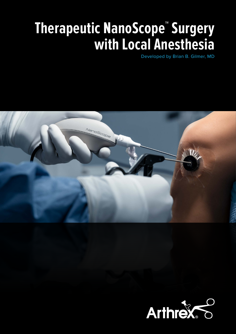# **Therapeutic NanoScope™ Surgery with Local Anesthesia**

Developed by Brian B. Gilmer, MD

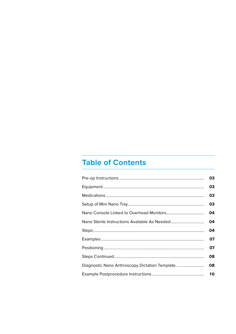# **Table of Contents**

|                                                | 03 |
|------------------------------------------------|----|
|                                                | 03 |
|                                                | 03 |
|                                                | 03 |
|                                                | 04 |
|                                                | 04 |
|                                                | 04 |
|                                                | O7 |
|                                                | 07 |
|                                                | 08 |
| Diagnostic Nano Arthroscopy Dictation Template | 08 |
|                                                | 10 |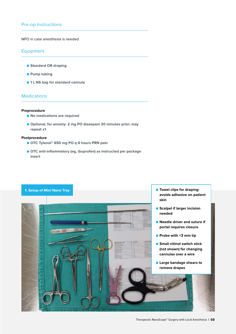# <span id="page-2-0"></span>Pre-op Instructions

#### NPO in case anesthesia is needed

#### Equipment

- **Standard OR draping**
- **Pump tubing**
- 1 L NS bag for standard cannula

## Medications

#### **Preprocedure**

- **No medications are required**
- Optional, for anxiety: 2 mg PO diazepam 30 minutes prior; may **repeat x1**

#### **Postprocedure**

- **OTC Tylenol<sup>®</sup> 650 mg PO q 6 hours PRN pain**
- **OTC** anti-inflammatory (eg, ibuprofen) as instructed per package **insert**

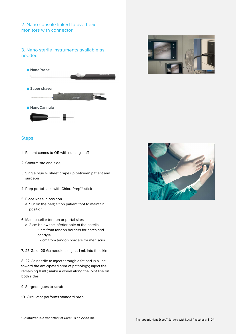# <span id="page-3-0"></span>3. Nano sterile instruments available as needed





- 1. Patient comes to OR with nursing staff
- 2. Confirm site and side
- 3. Single blue ¾ sheet drape up between patient and surgeon
- 4. Prep portal sites with ChloraPrep™\* stick
- 5. Place knee in position
	- a. 90° on the bed; sit on patient foot to maintain position
- 6. Mark patellar tendon or portal sites
	- a. 2 cm below the inferior pole of the patella i. 1 cm from tendon borders for notch and
		- condyle
		- ii. 2 cm from tendon borders for meniscus
- 7. 25 Ga or 28 Ga needle to inject 1 mL into the skin

8. 22 Ga needle to inject through a fat pad in a line toward the anticipated area of pathology; inject the remaining 8 mL; make a wheel along the joint line on both sides

- 9. Surgeon goes to scrub
- 10. Circulator performs standard prep

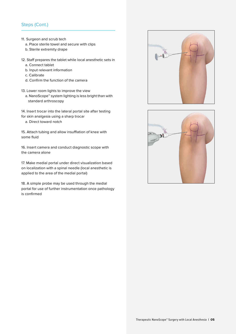# Steps (Cont.)

- 11. Surgeon and scrub tech
	- a. Place sterile towel and secure with clips
	- b. Sterile extremity drape
- 12. Staff prepares the tablet while local anesthetic sets in
	- a. Connect tablet
	- b. Input relevant information
	- c. Calibrate
	- d. Confirm the function of the camera
- 13. Lower room lights to improve the view
	- a. NanoScope™ system lighting is less bright than with standard arthroscopy
- 14. Insert trocar into the lateral portal site after testing for skin analgesia using a sharp trocar
	- a. Direct toward notch

15. Attach tubing and allow insufflation of knee with some fluid

16. Insert camera and conduct diagnostic scope with the camera alone

17. Make medial portal under direct visualization based on localization with a spinal needle (local anesthetic is applied to the area of the medial portal)

18. A simple probe may be used through the medial portal for use of further instrumentation once pathology is confirmed



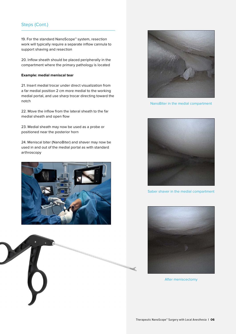# Steps (Cont.)

19. For the standard NanoScope™ system, resection work will typically require a separate inflow cannula to support shaving and resection

20. Inflow sheath should be placed peripherally in the compartment where the primary pathology is located

#### **Example: medial meniscal tear**

21. Insert medial trocar under direct visualization from a far medial position 2 cm more medial to the working medial portal, and use sharp trocar directing toward the notch

22. Move the inflow from the lateral sheath to the far medial sheath and open flow

23. Medial sheath may now be used as a probe or positioned near the posterior horn

24. Meniscal biter (NanoBiter) and shaver may now be used in and out of the medial portal as with standard arthroscopy







NanoBiter in the medial compartment



Saber shaver in the medial compartment



After meniscectomy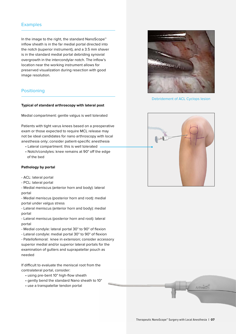#### <span id="page-6-0"></span>**Examples**

In the image to the right, the standard NanoScope™ inflow sheath is in the far medial portal directed into the notch (superior instrument), and a 3.5 mm shaver is in the standard medial portal debriding synovial overgrowth in the intercondylar notch. The inflow's location near the working instrument allows for preserved visualization during resection with good image resolution.

# **Positioning**

#### **Typical of standard arthroscopy with lateral post**

Medial compartment: gentle valgus is well tolerated

Patients with tight varus knees based on a preoperative exam or those expected to require MCL release may not be ideal candidates for nano arthroscopy with local anesthesia only; consider patient-specific anesthesia

- Lateral compartment: this is well tolerated
- Notch/condyles: knee remains at 90° off the edge of the bed

#### **Pathology by portal**

- ACL: lateral portal

- PCL: lateral portal

- Medial meniscus (anterior horn and body): lateral portal

- Medial meniscus (posterior horn and root): medial portal under valgus stress

- Lateral meniscus (anterior horn and body): medial portal

- Lateral meniscus (posterior horn and root): lateral portal

- Medial condyle: lateral portal 30° to 90° of flexion

- Lateral condyle: medial portal 30° to 90° of flexion

- Patellofemoral: knee in extension; consider accessory superior medial and/or superior lateral portals for the examination of gutters and suprapatellar pouch as needed

If difficult to evaluate the meniscal root from the contralateral portal, consider:

- using pre-bent 10° high-flow sheath
- gently bend the standard Nano sheath to 10°
- use a transpatellar tendon portal



Debridement of ACL Cyclops lesion



Arthrex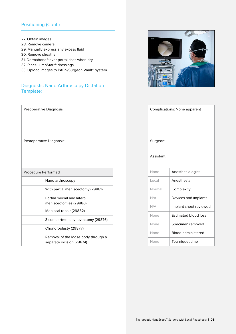# <span id="page-7-0"></span>Positioning (Cont.)

- 27. Obtain images
- 28. Remove camera
- 29. Manually express any excess fluid
- 30. Remove sheaths
- 31. Dermabond® over portal sites when dry
- 32. Place JumpStart® dressings
- 33. Upload images to PACS/Surgeon Vault® system

# Diagnostic Nano Arthroscopy Dictation Template:

|                     | Preoperative Diagnosis:                                          |  |
|---------------------|------------------------------------------------------------------|--|
|                     | Postoperative Diagnosis:                                         |  |
| Procedure Performed |                                                                  |  |
|                     | Nano arthroscopy                                                 |  |
|                     | With partial meniscectomy (29881)                                |  |
|                     | Partial medial and lateral<br>meniscectomies (29880)             |  |
|                     | Meniscal repair (29882)                                          |  |
|                     | 3 compartment synovectomy (29876)                                |  |
|                     | Chondroplasty (29877)                                            |  |
|                     | Removal of the loose body through a<br>separate incision (29874) |  |



| <b>Complications: None apparent</b> |                             |  |
|-------------------------------------|-----------------------------|--|
| Surgeon:                            |                             |  |
| Assistant:                          |                             |  |
| None                                | Anesthesiologist            |  |
| Local                               | Anesthesia                  |  |
| Normal                              | Complexity                  |  |
| N/A                                 | Devices and implants        |  |
| N/A                                 | Implant sheet reviewed      |  |
| None                                | <b>Estimated blood loss</b> |  |
| None                                | Specimen removed            |  |
| None                                | <b>Blood administered</b>   |  |
| None                                | Tourniquet time             |  |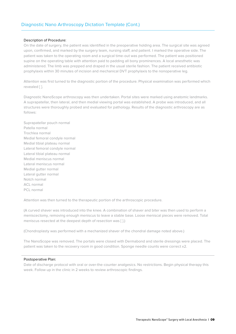# Diagnostic Nano Arthroscopy Dictation Template (Cont.)

#### Description of Procedure:

On the date of surgery, the patient was identified in the preoperative holding area. The surgical site was agreed upon, confirmed, and marked by the surgery team, nursing staff, and patient. I marked the operative side. The patient was taken to the operating room and a surgical time-out was performed. The patient was positioned supine on the operating table with attention paid to padding all bony prominences. A local anesthetic was administered. The limb was prepped and draped in the usual sterile fashion. The patient received antibiotic prophylaxis within 30 minutes of incision and mechanical DVT prophylaxis to the nonoperative leg.

Attention was first turned to the diagnostic portion of the procedure. Physical examination was performed which revealed [ ].

Diagnostic NanoScope arthroscopy was then undertaken. Portal sites were marked using anatomic landmarks. A suprapatellar, then lateral, and then medial viewing portal was established. A probe was introduced, and all structures were thoroughly probed and evaluated for pathology. Results of the diagnostic arthroscopy are as follows:

Suprapatellar pouch normal Patella normal Trochlea normal Medial femoral condyle normal Medial tibial plateau normal Lateral femoral condyle normal Lateral tibial plateau normal Medial meniscus normal Lateral meniscus normal Medial gutter normal Lateral gutter normal Notch normal ACL normal PCL normal

Attention was then turned to the therapeutic portion of the arthroscopic procedure.

(A curved shaver was introduced into the knee. A combination of shaver and biter was then used to perform a meniscectomy, removing enough meniscus to leave a stable base. Loose meniscal pieces were removed. Total meniscus resected at the deepest depth of resection was [ ].)

(Chondroplasty was performed with a mechanized shaver of the chondral damage noted above.)

The NanoScope was removed. The portals were closed with Dermabond and sterile dressings were placed. The patient was taken to the recovery room in good condition. Sponge needle counts were correct x2.

#### Postoperative Plan:

Date of discharge protocol with oral or over-the-counter analgesics. No restrictions. Begin physical therapy this week. Follow up in the clinic in 2 weeks to review arthroscopic findings.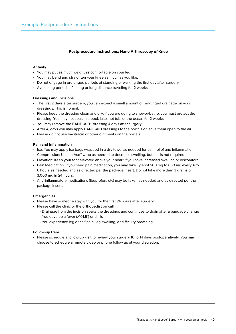#### **Postprocedure Instructions: Nano Arthroscopy of Knee**

#### <span id="page-9-0"></span>**Activity**

- You may put as much weight as comfortable on your leg.
- You may bend and straighten your knee as much as you like.
- Do not engage in prolonged periods of standing or walking the first day after surgery.
- Avoid long periods of sitting or long distance traveling for 2 weeks.

#### **Dressings and Incisions**

- The first 2 days after surgery, you can expect a small amount of red-tinged drainage on your dressings. This is normal.
- Please keep the dressing clean and dry; if you are going to shower/bathe, you must protect the dressing. You may not soak in a pool, lake, hot tub, or the ocean for 2 weeks.
- You may remove the BAND-AID® dressing 4 days after surgery.
- After 4, days you may apply BAND-AID dressings to the portals or leave them open to the air.
- Please do not use bacitracin or other ointments on the portals.

#### **Pain and Inflammation**

- Ice: You may apply ice bags wrapped in a dry towel as needed for pain relief and inflammation.
- Compression: Use an Ace™ wrap as needed to decrease swelling, but this is not required.
- Elevation: Keep your foot elevated above your heart if you have increased swelling or discomfort.
- Pain Medication: If you need pain medication, you may take Tylenol 500 mg to 650 mg every 4 to 6 hours as needed and as directed per the package insert. Do not take more than 3 grams or 3,000 mg in 24 hours.
- Anti-inflammatory medications (Ibuprofen, etc) may be taken as needed and as directed per the package insert.

#### **Emergencies**

- Please have someone stay with you for the first 24 hours after surgery
- Please call the clinic or the orthopedist on call if:
	- Drainage from the incision soaks the dressings and continues to drain after a bandage change
	- You develop a fever (>101.5˚) or chills
	- You experience leg or calf pain, leg swelling, or difficulty breathing

#### **Follow-up Care**

• Please schedule a follow-up visit to review your surgery 10 to 14 days postoperatively. You may choose to schedule a remote video or phone follow up at your discretion.